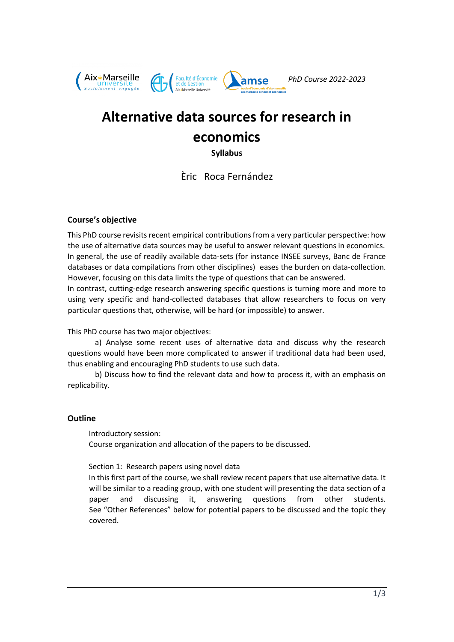

# **Alternative data sources for research in economics**

**Syllabus**

Èric Roca Fernández

# **Course's objective**

This PhD course revisits recent empirical contributions from a very particular perspective: how the use of alternative data sources may be useful to answer relevant questions in economics. In general, the use of readily available data-sets (for instance INSEE surveys, Banc de France databases or data compilations from other disciplines) eases the burden on data-collection. However, focusing on this data limits the type of questions that can be answered.

In contrast, cutting-edge research answering specific questions is turning more and more to using very specific and hand-collected databases that allow researchers to focus on very particular questions that, otherwise, will be hard (or impossible) to answer.

This PhD course has two major objectives:

a) Analyse some recent uses of alternative data and discuss why the research questions would have been more complicated to answer if traditional data had been used, thus enabling and encouraging PhD students to use such data.

b) Discuss how to find the relevant data and how to process it, with an emphasis on replicability.

# **Outline**

Introductory session: Course organization and allocation of the papers to be discussed.

Section 1: Research papers using novel data

In this first part of the course, we shall review recent papers that use alternative data. It will be similar to a reading group, with one student will presenting the data section of a paper and discussing it, answering questions from other students. See "Other References" below for potential papers to be discussed and the topic they covered.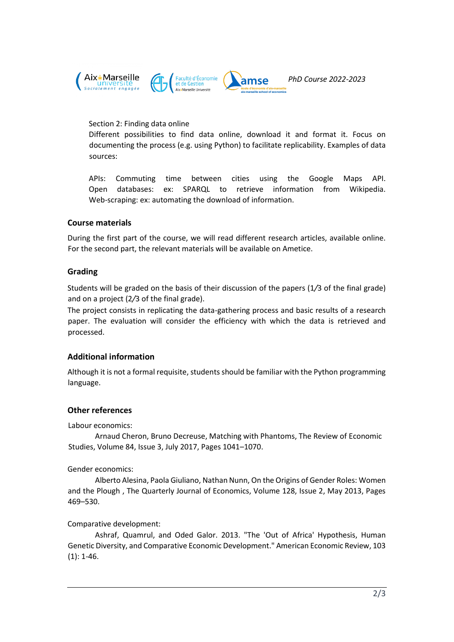

## Section 2: Finding data online

Different possibilities to find data online, download it and format it. Focus on documenting the process (e.g. using Python) to facilitate replicability. Examples of data sources:

APIs: Commuting time between cities using the Google Maps API. Open databases: ex: SPARQL to retrieve information from Wikipedia. Web-scraping: ex: automating the download of information.

## **Course materials**

During the first part of the course, we will read different research articles, available online. For the second part, the relevant materials will be available on Ametice.

## **Grading**

Students will be graded on the basis of their discussion of the papers (1*/*3 of the final grade) and on a project (2*/*3 of the final grade).

The project consists in replicating the data-gathering process and basic results of a research paper. The evaluation will consider the efficiency with which the data is retrieved and processed.

# **Additional information**

Although it is not a formal requisite, students should be familiar with the Python programming language.

# **Other references**

Labour economics:

Arnaud Cheron, Bruno Decreuse, Matching with Phantoms, The Review of Economic Studies, Volume 84, Issue 3, July 2017, Pages 1041–1070.

#### Gender economics:

Alberto Alesina, Paola Giuliano, Nathan Nunn, On the Origins of Gender Roles: Women and the Plough , The Quarterly Journal of Economics, Volume 128, Issue 2, May 2013, Pages 469–530.

#### Comparative development:

Ashraf, Quamrul, and Oded Galor. 2013. "The 'Out of Africa' Hypothesis, Human Genetic Diversity, and Comparative Economic Development." American Economic Review, 103 (1): 1-46.